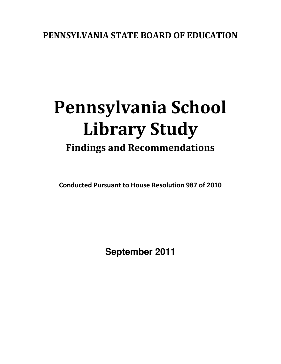## PENNSYLVANIA STATE BOARD OF EDUCATION

# Pennsylvania School Library Study

# Findings and Recommendations

Conducted Pursuant to House Resolution 987 of 2010

 **September 2011**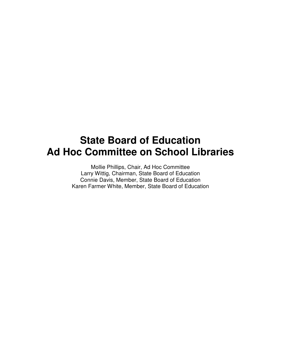# **State Board of Education Ad Hoc Committee on School Libraries**

 Mollie Phillips, Chair, Ad Hoc Committee Larry Wittig, Chairman, State Board of Education Connie Davis, Member, State Board of Education Karen Farmer White, Member, State Board of Education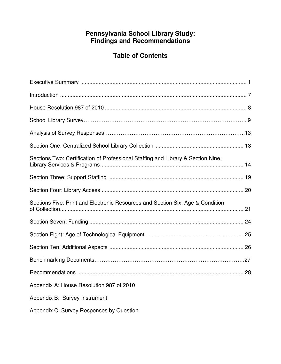### **Pennsylvania School Library Study: Findings and Recommendations**

### **Table of Contents**

| Sections Two: Certification of Professional Staffing and Library & Section Nine: |  |
|----------------------------------------------------------------------------------|--|
|                                                                                  |  |
|                                                                                  |  |
| Sections Five: Print and Electronic Resources and Section Six: Age & Condition   |  |
|                                                                                  |  |
|                                                                                  |  |
|                                                                                  |  |
|                                                                                  |  |
|                                                                                  |  |
| Appendix A: House Resolution 987 of 2010                                         |  |
| Appendix B: Survey Instrument                                                    |  |
| Appendix C: Survey Responses by Question                                         |  |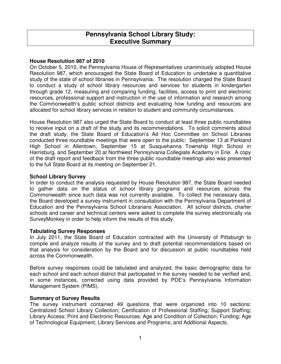### **Pennsylvania School Library Study: Executive Summary**

### <span id="page-3-0"></span> **House Resolution 987 of 2010**

 On October 5, 2010, the Pennsylvania House of Representatives unanimously adopted House Resolution 987, which encouraged the State Board of Education to undertake a quantitative study of the state of school libraries in Pennsylvania. The resolution charged the State Board to conduct a study of school library resources and services for students in kindergarten through grade 12, measuring and comparing funding, facilities, access to print and electronic resources, professional support and instruction in the use of information and research among the Commonwealth's public school districts and evaluating how funding and resources are allocated for school library services in relation to student and community circumstances.

 House Resolution 987 also urged the State Board to conduct at least three public roundtables to receive input on a draft of the study and its recommendations. To solicit comments about the draft study, the State Board of Education's Ad Hoc Committee on School Libraries conducted three roundtable meetings that were open to the public: September 13 at Parkland High School in Allentown, September 15 at Susquehanna Township High School in Harrisburg, and September 20 at Northwest Pennsylvania Collegiate Academy in Erie. A copy of the draft report and feedback from the three public roundtable meetings also was presented to the full State Board at its meeting on September 21.

### **School Library Survey**

 In order to conduct the analysis requested by House Resolution 987, the State Board needed to gather data on the status of school library programs and resources across the Commonwealth since such data was not currently available. To collect the necessary data, the Board developed a survey instrument in consultation with the Pennsylvania Department of Education and the Pennsylvania School Librarians Association. All school districts, charter schools and career and technical centers were asked to complete the survey electronically via SurveyMonkey in order to help inform the results of this study.

### **Tabulating Survey Responses**

 In July 2011, the State Board of Education contracted with the University of Pittsburgh to compile and analyze results of the survey and to draft potential recommendations based on that analysis for consideration by the Board and for discussion at public roundtables held across the Commonwealth.

 Before survey responses could be tabulated and analyzed, the basic demographic data for each school and each school district that participated in the survey needed to be verified and, in some instances, corrected using data provided by PDE's Pennsylvania Information Management System (PIMS).

### **Summary of Survey Results**

 The survey instrument contained 49 questions that were organized into 10 sections: Centralized School Library Collection; Certification of Professional Staffing; Support Staffing; Library Access; Print and Electronic Resources; Age and Condition of Collection; Funding; Age of Technological Equipment; Library Services and Programs; and Additional Aspects.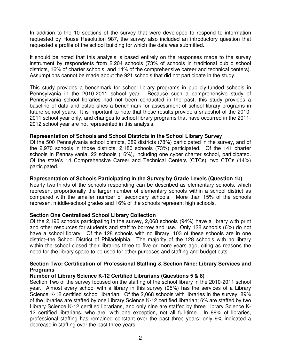In addition to the 10 sections of the survey that were developed to respond to information requested by House Resolution 987, the survey also included an introductory question that requested a profile of the school building for which the data was submitted.

 It should be noted that this analysis is based entirely on the responses made to the survey instrument by respondents from 2,204 schools (73% of schools in traditional public school districts, 16% of charter schools, and 14% of the comprehensive career and technical centers). Assumptions cannot be made about the 921 schools that did not participate in the study.

 This study provides a benchmark for school library programs in publicly-funded schools in Pennsylvania in the 2010-2011 school year. Because such a comprehensive study of Pennsylvania school libraries had not been conducted in the past, this study provides a baseline of data and establishes a benchmark for assessment of school library programs in future school years. It is important to note that these results provide a snapshot of the 2010 2011 school year only, and changes to school library programs that have occurred in the 2011 2012 school year are not represented in this analysis.

### **Representation of Schools and School Districts in the School Library Survey**

 Of the 500 Pennsylvania school districts, 389 districts (78%) participated in the survey, and of the 2,970 schools in those districts, 2,180 schools (73%) participated. Of the 141 charter schools in Pennsylvania, 22 schools (16%), including one cyber charter school, participated. Of the state's 14 Comprehensive Career and Technical Centers (CTCs), two CTCs (14%) participated.

#### **Representation of Schools Participating in the Survey by Grade Levels (Question 1b)**

 Nearly two-thirds of the schools responding can be described as elementary schools, which represent proportionally the larger number of elementary schools within a school district as compared with the smaller number of secondary schools. More than 15% of the schools represent middle-school grades and 16% of the schools represent high schools.

### **Section One Centralized School Library Collection**

 Of the 2,196 schools participating in the survey, 2,068 schools (94%) have a library with print and other resources for students and staff to borrow and use. Only 128 schools (6%) do not have a school library. Of the 128 schools with no library, 103 of these schools are in one district–the School District of Philadelphia. The majority of the 128 schools with no library within the school closed their libraries three to five or more years ago, citing as reasons the need for the library space to be used for other purposes and staffing and budget cuts.

### **Section Two: Certification of Professional Staffing & Section Nine: Library Services and Programs**

### **Number of Library Science K-12 Certified Librarians (Questions 5 & 8)**

 Section Two of the survey focused on the staffing of the school library in the 2010-2011 school year. Almost every school with a library in this survey (95%) has the services of a Library Science K-12 certified school librarian. Of the 2,068 schools with libraries in the survey, 89% of the libraries are staffed by one Library Science K-12 certified librarian; 6% are staffed by two Library Science K-12 certified librarians, and only nine are staffed by three Library Science K- 12 certified librarians, who are, with one exception, not all full-time. In 88% of libraries, professional staffing has remained constant over the past three years; only 9% indicated a decrease in staffing over the past three years.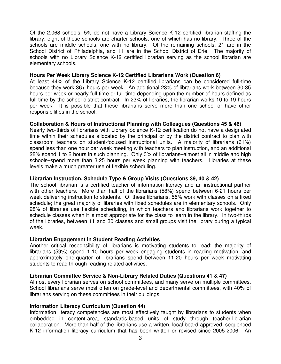Of the 2,068 schools, 5% do not have a Library Science K-12 certified librarian staffing the library; eight of these schools are charter schools, one of which has no library. Three of the schools are middle schools, one with no library. Of the remaining schools, 21 are in the School District of Philadelphia, and 11 are in the School District of Erie. The majority of schools with no Library Science K-12 certified librarian serving as the school librarian are elementary schools.

#### **Hours Per Week Library Science K-12 Certified Librarians Work (Question 6)**

 At least 44% of the Library Science K-12 certified librarians can be considered full-time because they work 36+ hours per week. An additional 23% of librarians work between 30-35 hours per week or nearly full-time or full-time depending upon the number of hours defined as full-time by the school district contract. In 23% of libraries, the librarian works 10 to 19 hours per week. It is possible that these librarians serve more than one school or have other responsibilities in the school.

### **Collaboration & Hours of Instructional Planning with Colleagues (Questions 45 & 46)**

 Nearly two-thirds of librarians with Library Science K-12 certification do not have a designated time within their schedules allocated by the principal or by the district contract to plan with classroom teachers on student-focused instructional units. A majority of librarians (61%) spend less than one hour per week meeting with teachers to plan instruction, and an additional 28% spend 1 to 2 hours in such planning. Only 3% of librarians–almost all in middle and high schools–spend more than 3.25 hours per week planning with teachers. Libraries at these levels make a much greater use of flexible scheduling.

#### **Librarian Instruction, Schedule Type & Group Visits (Questions 39, 40 & 42)**

 The school librarian is a certified teacher of information literacy and an instructional partner with other teachers. More than half of the librarians (58%) spend between 6-21 hours per week delivering instruction to students. Of these librarians, 55% work with classes on a fixed schedule; the great majority of libraries with fixed schedules are in elementary schools. Only 28% of libraries use flexible scheduling, in which teachers and librarians work together to schedule classes when it is most appropriate for the class to learn in the library. In two-thirds of the libraries, between 11 and 30 classes and small groups visit the library during a typical week.

#### **Librarian Engagement in Student Reading Activities**

 Another critical responsibility of librarians is motivating students to read; the majority of librarians (59%) spend 1-10 hours per week engaging students in reading motivation, and approximately one-quarter of librarians spend between 11-20 hours per week motivating students to read through reading-related activities.

#### **Librarian Committee Service & Non-Library Related Duties (Questions 41 & 47)**

 Almost every librarian serves on school committees, and many serve on multiple committees. School librarians serve most often on grade-level and departmental committees, with 40% of librarians serving on these committees in their buildings.

#### **Information Literacy Curriculum (Question 44)**

 Information literacy competencies are most effectively taught by librarians to students when embedded in content-area, standards-based units of study through teacher-librarian collaboration. More than half of the librarians use a written, local-board-approved, sequenced K-12 information literacy curriculum that has been written or revised since 2005-2006. An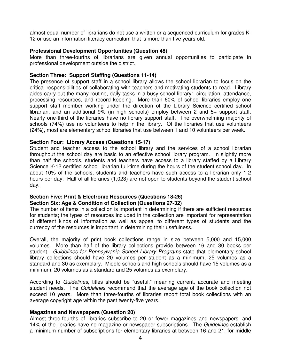almost equal number of librarians do not use a written or a sequenced curriculum for grades K-12 or use an information literacy curriculum that is more than five years old.

### **Professional Development Opportunities (Question 48)**

 More than three-fourths of librarians are given annual opportunities to participate in professional development outside the district.

### **Section Three: Support Staffing (Questions 11-14)**

 The presence of support staff in a school library allows the school librarian to focus on the critical responsibilities of collaborating with teachers and motivating students to read. Library aides carry out the many routine, daily tasks in a busy school library: circulation, attendance, processing resources, and record keeping. More than 60% of school libraries employ one support staff member working under the direction of the Library Science certified school librarian, and an additional 9% (in high schools) employ between 2 and 5+ support staff. Nearly one-third of the libraries have no library support staff. The overwhelming majority of schools (74%) use no volunteers to help in the library. Of the libraries that use volunteers (24%), most are elementary school libraries that use between 1 and 10 volunteers per week.

### **Section Four: Library Access (Questions 15-17)**

 Student and teacher access to the school library and the services of a school librarian throughout the school day are basic to an effective school library program. In slightly more than half the schools, students and teachers have access to a library staffed by a Library Science K-12 certified school librarian full-time during the hours of the student school day. In about 10% of the schools, students and teachers have such access to a librarian only 1-2 hours per day. Half of all libraries (1,023) are not open to students beyond the student school day.

### **Section Five: Print & Electronic Resources (Questions 18-26) Section Six: Age & Condition of Collection (Questions 27-32)**

 The number of items in a collection is important in determining if there are sufficient resources for students; the types of resources included in the collection are important for representation of different kinds of information as well as appeal to different types of students and the currency of the resources is important in determining their usefulness.

 Overall, the majority of print book collections range in size between 5,000 and 15,000 volumes. More than half of the library collections provide between 16 and 30 books per student. Guidelines for Pennsylvania School Library Programs state that elementary school library collections should have 20 volumes per student as a minimum, 25 volumes as a standard and 30 as exemplary. Middle schools and high schools should have 15 volumes as a minimum, 20 volumes as a standard and 25 volumes as exemplary.

According to Guidelines, titles should be "useful," meaning current, accurate and meeting student needs. The Guidelines recommend that the average age of the book collection not exceed 10 years. More than three-fourths of libraries report total book collections with an average copyright age within the past twenty-five years.

### **Magazines and Newspapers (Question 20)**

 Almost three-fourths of libraries subscribe to 20 or fewer magazines and newspapers, and 14% of the libraries have no magazine or newspaper subscriptions. The Guidelines establish a minimum number of subscriptions for elementary libraries at between 16 and 21, for middle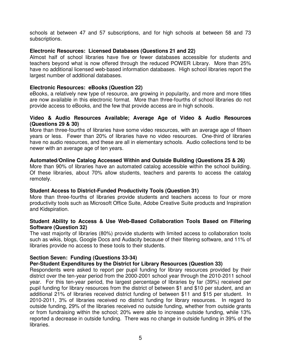schools at between 47 and 57 subscriptions, and for high schools at between 58 and 73 subscriptions.

### **Electronic Resources: Licensed Databases (Questions 21 and 22)**

 Almost half of school libraries have five or fewer databases accessible for students and teachers beyond what is now offered through the reduced POWER Library. More than 25% have no additional licensed web-based information databases. High school libraries report the largest number of additional databases.

### **Electronic Resources: eBooks (Question 22)**

 eBooks, a relatively new type of resource, are growing in popularity, and more and more titles are now available in this electronic format. More than three-fourths of school libraries do not provide access to eBooks, and the few that provide access are in high schools.

### **Video & Audio Resources Available; Average Age of Video & Audio Resources (Questions 29 & 30)**

 More than three-fourths of libraries have some video resources, with an average age of fifteen years or less. Fewer than 20% of libraries have no video resources. One-third of libraries have no audio resources, and these are all in elementary schools. Audio collections tend to be newer with an average age of ten years.

### **Automated/Online Catalog Accessed Within and Outside Building (Questions 25 & 26)**

 More than 90% of libraries have an automated catalog accessible within the school building. Of these libraries, about 70% allow students, teachers and parents to access the catalog remotely.

### **Student Access to District-Funded Productivity Tools (Question 31)**

 More than three-fourths of libraries provide students and teachers access to four or more productivity tools such as Microsoft Office Suite, Adobe Creative Suite products and Inspiration and Kidspiration.

### **Student Ability to Access & Use Web-Based Collaboration Tools Based on Filtering Software (Question 32)**

 The vast majority of libraries (80%) provide students with limited access to collaboration tools such as wikis, blogs, Google Docs and Audacity because of their filtering software, and 11% of libraries provide no access to these tools to their students.

### **Section Seven: Funding (Questions 33-34)**

### **Per-Student Expenditures by the District for Library Resources (Question 33)**

 Respondents were asked to report per pupil funding for library resources provided by their district over the ten-year period from the 2000-2001 school year through the 2010-2011 school year. For this ten-year period, the largest percentage of libraries by far (39%) received per pupil funding for library resources from the district of between \$1 and \$10 per student, and an additional 21% of libraries received district funding of between \$11 and \$15 per student. In 2010-2011, 3% of libraries received no district funding for library resources. In regard to outside funding, 29% of the libraries received no outside funding, whether from outside grants or from fundraising within the school; 20% were able to increase outside funding, while 13% reported a decrease in outside funding. There was no change in outside funding in 39% of the libraries.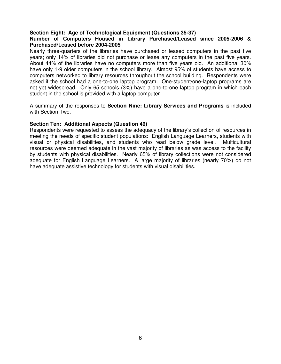### **Section Eight: Age of Technological Equipment (Questions 35-37)**

### **Purchased/Leased before 2004-2005 Number of Computers Housed in Library Purchased/Leased since 2005-2006 &**

 Nearly three-quarters of the libraries have purchased or leased computers in the past five years; only 14% of libraries did not purchase or lease any computers in the past five years. About 44% of the libraries have no computers more than five years old. An additional 30% have only 1-9 older computers in the school library. Almost 95% of students have access to computers networked to library resources throughout the school building. Respondents were asked if the school had a one-to-one laptop program. One-student/one-laptop programs are not yet widespread. Only 65 schools (3%) have a one-to-one laptop program in which each student in the school is provided with a laptop computer.

 A summary of the responses to **Section Nine: Library Services and Programs** is included with Section Two.

### **Section Ten: Additional Aspects (Question 49)**

 Respondents were requested to assess the adequacy of the library's collection of resources in meeting the needs of specific student populations: English Language Learners, students with visual or physical disabilities, and students who read below grade level. Multicultural resources were deemed adequate in the vast majority of libraries as was access to the facility by students with physical disabilities. Nearly 65% of library collections were not considered adequate for English Language Learners. A large majority of libraries (nearly 70%) do not have adequate assistive technology for students with visual disabilities.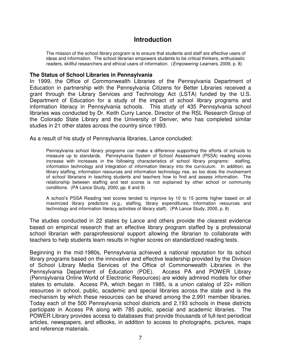### **Introduction**

<span id="page-9-0"></span> The mission of the school library program is to ensure that students and staff are effective users of ideas and information. The school librarian empowers students to be critical thinkers, enthusiastic readers, skillful researchers and ethical users of information. (Empowering Learners, 2009, p. 8)

### **The Status of School Libraries in Pennsylvania**

 In 1999, the Office of Commonwealth Libraries of the Pennsylvania Department of Education in partnership with the Pennsylvania Citizens for Better Libraries received a grant through the Library Services and Technology Act (LSTA) funded by the U.S. Department of Education for a study of the impact of school library programs and information literacy in Pennsylvania schools. This study of 435 Pennsylvania school libraries was conducted by Dr. Keith Curry Lance, Director of the RSL Research Group of the Colorado State Library and the University of Denver, who has completed similar studies in 21 other states across the country since 1993.

As a result of his study of Pennsylvania libraries, Lance concluded:

 Pennsylvania school library programs can make a difference supporting the efforts of schools to measure up to standards. Pennsylvania System of School Assessment (PSSA) reading scores increase with increases in the following characteristics of school library programs: staffing, information technology and integration of information literacy into the curriculum. In addition, as library staffing, information resources and information technology rise, so too does the involvement of school librarians in teaching students and teachers how to find and assess information. The relationship between staffing and test scores is not explained by other school or community conditions. (PA Lance Study, 2000, pp. 6 and 9)

 A school's PSSA Reading test scores tended to improve by 10 to 15 points higher based on all maximized library predictors (e.g., staffing, library expenditures, information resources and technology and information literacy activities of library staff). (PA Lance Study, 2000, p. 8)

 The studies conducted in 22 states by Lance and others provide the clearest evidence based on empirical research that an effective library program staffed by a professional school librarian with paraprofessional support allowing the librarian to collaborate with teachers to help students learn results in higher scores on standardized reading tests.

 Beginning in the mid-1980s, Pennsylvania achieved a national reputation for its school library programs based on the innovative and effective leadership provided by the Division of School Library Media Services of the Office of Commonwealth Libraries in the Pennsylvania Department of Education (PDE). Access PA and POWER Library (Pennsylvania Online World of Electronic Resources) are widely admired models for other states to emulate. Access PA, which began in 1985, is a union catalog of 22+ million resources in school, public, academic and special libraries across the state and is the mechanism by which these resources can be shared among the 2,991 member libraries. Today each of the 500 Pennsylvania school districts and 2,193 schools in these districts participate in Access PA along with 785 public, special and academic libraries. The POWER Library provides access to databases that provide thousands of full-text periodical articles, newspapers, and eBooks, in addition to access to photographs, pictures, maps and reference materials.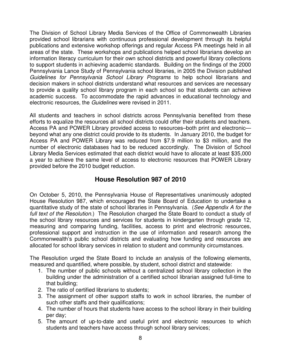<span id="page-10-0"></span> The Division of School Library Media Services of the Office of Commonwealth Libraries provided school librarians with continuous professional development through its helpful publications and extensive workshop offerings and regular Access PA meetings held in all areas of the state. These workshops and publications helped school librarians develop an information literacy curriculum for their own school districts and powerful library collections to support students in achieving academic standards. Building on the findings of the 2000 Pennsylvania Lance Study of Pennsylvania school libraries, in 2005 the Division published Guidelines for Pennsylvania School Library Programs to help school librarians and decision makers in school districts understand what resources and services are necessary to provide a quality school library program in each school so that students can achieve academic success. To accommodate the rapid advances in educational technology and electronic resources, the Guidelines were revised in 2011.

 All students and teachers in school districts across Pennsylvania benefited from these efforts to equalize the resources all school districts could offer their students and teachers. Access PA and POWER Library provided access to resources–both print and electronic— beyond what any one district could provide to its students. In January 2010, the budget for Access PA and POWER Library was reduced from \$7.9 million to \$3 million, and the number of electronic databases had to be reduced accordingly. The Division of School Library Media Services estimated that each district would have to allocate at least \$35,000 a year to achieve the same level of access to electronic resources that POWER Library provided before the 2010 budget reduction.

### **House Resolution 987 of 2010**

 On October 5, 2010, the Pennsylvania House of Representatives unanimously adopted House Resolution 987, which encouraged the State Board of Education to undertake a quantitative study of the state of school libraries in Pennsylvania. (See Appendix A for the full text of the Resolution.) The Resolution charged the State Board to conduct a study of the school library resources and services for students in kindergarten through grade 12, measuring and comparing funding, facilities, access to print and electronic resources, professional support and instruction in the use of information and research among the Commonwealth's public school districts and evaluating how funding and resources are allocated for school library services in relation to student and community circumstances.

 The Resolution urged the State Board to include an analysis of the following elements, measured and quantified, where possible, by student, school district and statewide:

- 1. The number of public schools without a centralized school library collection in the building under the administration of a certified school librarian assigned full-time to that building;
- 2. The ratio of certified librarians to students;
- 3. The assignment of other support staffs to work in school libraries, the number of such other staffs and their qualifications;
- 4. The number of hours that students have access to the school library in their building per day;
- 5. The amount of up-to-date and useful print and electronic resources to which students and teachers have access through school library services;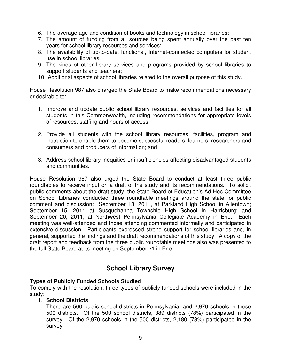- <span id="page-11-0"></span>6. The average age and condition of books and technology in school libraries;
- 7. The amount of funding from all sources being spent annually over the past ten years for school library resources and services;
- 8. The availability of up-to-date, functional, Internet-connected computers for student use in school libraries'
- 9. The kinds of other library services and programs provided by school libraries to support students and teachers;
- 10. Additional aspects of school libraries related to the overall purpose of this study.

 House Resolution 987 also charged the State Board to make recommendations necessary or desirable to:

- 1. Improve and update public school library resources, services and facilities for all students in this Commonwealth, including recommendations for appropriate levels of resources, staffing and hours of access;
- 2. Provide all students with the school library resources, facilities, program and instruction to enable them to become successful readers, learners, researchers and consumers and producers of information; and
- 3. Address school library inequities or insufficiencies affecting disadvantaged students and communities.

 House Resolution 987 also urged the State Board to conduct at least three public roundtables to receive input on a draft of the study and its recommendations. To solicit public comments about the draft study, the State Board of Education's Ad Hoc Committee on School Libraries conducted three roundtable meetings around the state for public comment and discussion: September 13, 2011, at Parkland High School in Allentown; September 15, 2011 at Susquehanna Township High School in Harrisburg; and September 20, 2011, at Northwest Pennsylvania Collegiate Academy in Erie. Each meeting was well-attended and those attending commented informally and participated in extensive discussion. Participants expressed strong support for school libraries and, in general, supported the findings and the draft recommendations of this study. A copy of the draft report and feedback from the three public roundtable meetings also was presented to the full State Board at its meeting on September 21 in Erie.

### **School Library Survey**

### **Types of Publicly Funded Schools Studied**

 To comply with the resolution**,** three types of publicly funded schools were included in the study:

### 1. **School Districts**

 There are 500 public school districts in Pennsylvania, and 2,970 schools in these 500 districts. Of the 500 school districts, 389 districts (78%) participated in the survey. Of the 2,970 schools in the 500 districts, 2,180 (73%) participated in the survey.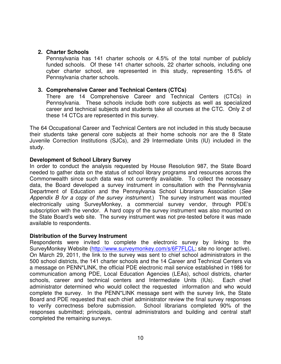### **2. Charter Schools**

 Pennsylvania has 141 charter schools or 4.5% of the total number of publicly funded schools. Of these 141 charter schools, 22 charter schools, including one cyber charter school, are represented in this study, representing 15.6% of Pennsylvania charter schools.

### **3. Comprehensive Career and Technical Centers (CTCs)**

 There are 14 Comprehensive Career and Technical Centers (CTCs) in Pennsylvania. These schools include both core subjects as well as specialized career and technical subjects and students take all courses at the CTC. Only 2 of these 14 CTCs are represented in this survey.

 The 64 Occupational Career and Technical Centers are not included in this study because their students take general core subjects at their home schools nor are the 8 State Juvenile Correction Institutions (SJCs), and 29 Intermediate Units (IU) included in the study.

### **Development of School Library Survey**

 In order to conduct the analysis requested by House Resolution 987, the State Board needed to gather data on the status of school library programs and resources across the Commonwealth since such data was not currently available. To collect the necessary data, the Board developed a survey instrument in consultation with the Pennsylvania Department of Education and the Pennsylvania School Librarians Association (See Appendix B for a copy of the survey instrument.) The survey instrument was mounted electronically using SurveyMonkey, a commercial survey vendor, through PDE's subscription with the vendor. A hard copy of the survey instrument was also mounted on the State Board's web site. The survey instrument was not pre-tested before it was made available to respondents.

### **Distribution of the Survey Instrument**

 Respondents were invited to complete the electronic survey by linking to the SurveyMonkey Website (http://www.surveymonkey.com/s/6F7FLCL; site no longer active). On March 29, 2011, the link to the survey was sent to chief school administrators in the 500 school districts, the 141 charter schools and the 14 Career and Technical Centers via a message on PENN\*LINK, the official PDE electronic mail service established in 1986 for communication among PDE, Local Education Agencies (LEAs), school districts, charter schools, career and technical centers and Intermediate Units (IUs). Each chief administrator determined who would collect the requested information and who would complete the survey. In the PENN\*LINK message sent with the survey link, the State Board and PDE requested that each chief administrator review the final survey responses to verify correctness before submission. School librarians completed 90% of the responses submitted; principals, central administrators and building and central staff completed the remaining surveys.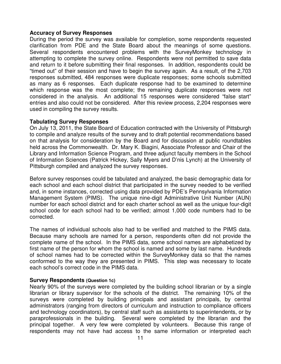### **Accuracy of Survey Responses**

 During the period the survey was available for completion, some respondents requested clarification from PDE and the State Board about the meanings of some questions. Several respondents encountered problems with the SurveyMonkey technology in attempting to complete the survey online. Respondents were not permitted to save data and return to it before submitting their final responses. In addition, respondents could be "timed out" of their session and have to begin the survey again. As a result, of the 2,703 responses submitted, 484 responses were duplicate responses; some schools submitted as many as 6 responses. Each duplicate response had to be examined to determine which response was the most complete; the remaining duplicate responses were not considered in the analysis. An additional 15 responses were considered "false start" entries and also could not be considered. After this review process, 2,204 responses were used in compiling the survey results.

### **Tabulating Survey Responses**

 On July 13, 2011, the State Board of Education contracted with the University of Pittsburgh to compile and analyze results of the survey and to draft potential recommendations based on that analysis for consideration by the Board and for discussion at public roundtables held across the Commonwealth. Dr. Mary K. Biagini, Associate Professor and Chair of the Library and Information Science Program, and three adjunct faculty members in the School of Information Sciences (Patrick Hickey, Sally Myers and D'nis Lynch) at the University of Pittsburgh compiled and analyzed the survey responses.

 Before survey responses could be tabulated and analyzed, the basic demographic data for each school and each school district that participated in the survey needed to be verified and, in some instances, corrected using data provided by PDE's Pennsylvania Information Management System (PIMS). The unique nine-digit Administrative Unit Number (AUN) number for each school district and for each charter school as well as the unique four-digit school code for each school had to be verified; almost 1,000 code numbers had to be corrected.

 The names of individual schools also had to be verified and matched to the PIMS data. Because many schools are named for a person, respondents often did not provide the complete name of the school. In the PIMS data, some school names are alphabetized by first name of the person for whom the school is named and some by last name. Hundreds of school names had to be corrected within the SurveyMonkey data so that the names conformed to the way they are presented in PIMS. This step was necessary to locate each school's correct code in the PIMS data.

### **Survey Respondents (Question 1c)**

 Nearly 90% of the surveys were completed by the building school librarian or by a single librarian or library supervisor for the schools of the district. The remaining 10% of the surveys were completed by building principals and assistant principals, by central administrators (ranging from directors of curriculum and instruction to compliance officers and technology coordinators), by central staff such as assistants to superintendents, or by paraprofessionals in the building. Several were completed by the librarian and the principal together. A very few were completed by volunteers. Because this range of respondents may not have had access to the same information or interpreted each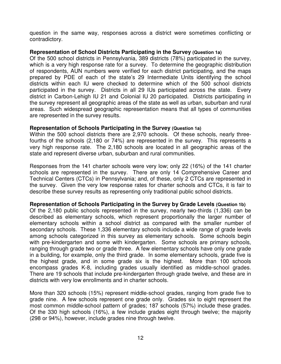question in the same way, responses across a district were sometimes conflicting or contradictory.

### **Representation of School Districts Participating in the Survey (Question 1a)**

 Of the 500 school districts in Pennsylvania, 389 districts (78%) participated in the survey, which is a very high response rate for a survey. To determine the geographic distribution of respondents, AUN numbers were verified for each district participating, and the maps prepared by PDE of each of the state's 29 Intermediate Units identifying the school districts within each IU were checked to determine which of the 500 school districts participated in the survey. Districts in all 29 IUs participated across the state. Every district in Carbon-Lehigh IU 21 and Colonial IU 20 participated. Districts participating in the survey represent all geographic areas of the state as well as urban, suburban and rural areas. Such widespread geographic representation means that all types of communities are represented in the survey results.

### **Representation of Schools Participating in the Survey (Question 1a)**

 Within the 500 school districts there are 2,970 schools. Of these schools, nearly three- fourths of the schools (2,180 or 74%) are represented in the survey. This represents a very high response rate. The 2,180 schools are located in all geographic areas of the state and represent diverse urban, suburban and rural communities.

 Responses from the 141 charter schools were very low; only 22 (16%) of the 141 charter schools are represented in the survey. There are only 14 Comprehensive Career and Technical Centers (CTCs) in Pennsylvania; and, of these, only 2 CTCs are represented in the survey. Given the very low response rates for charter schools and CTCs, it is fair to describe these survey results as representing only traditional public school districts.

### **Representation of Schools Participating in the Survey by Grade Levels (Question 1b)**

 Of the 2,180 public schools represented in the survey, nearly two-thirds (1,336) can be described as elementary schools, which represent proportionally the larger number of elementary schools within a school district as compared with the smaller number of secondary schools. These 1,336 elementary schools include a wide range of grade levels among schools categorized in this survey as elementary schools. Some schools begin with pre-kindergarten and some with kindergarten. Some schools are primary schools, ranging through grade two or grade three. A few elementary schools have only one grade in a building, for example, only the third grade. In some elementary schools, grade five is the highest grade, and in some grade six is the highest. More than 100 schools encompass grades K-8, including grades usually identified as middle-school grades. There are 19 schools that include pre-kindergarten through grade twelve, and these are in districts with very low enrollments and in charter schools.

 More than 320 schools (15%) represent middle-school grades, ranging from grade five to grade nine. A few schools represent one grade only. Grades six to eight represent the most common middle-school pattern of grades; 187 schools (57%) include these grades. Of the 330 high schools (16%), a few include grades eight through twelve; the majority (298 or 94%), however, include grades nine through twelve.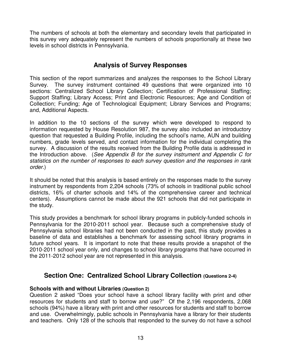<span id="page-15-0"></span> The numbers of schools at both the elementary and secondary levels that participated in this survey very adequately represent the numbers of schools proportionally at these two levels in school districts in Pennsylvania.

### **Analysis of Survey Responses**

 This section of the report summarizes and analyzes the responses to the School Library Survey. The survey instrument contained 49 questions that were organized into 10 sections: Centralized School Library Collection; Certification of Professional Staffing; Support Staffing; Library Access; Print and Electronic Resources; Age and Condition of Collection; Funding; Age of Technological Equipment; Library Services and Programs; and, Additional Aspects.

 In addition to the 10 sections of the survey which were developed to respond to information requested by House Resolution 987, the survey also included an introductory question that requested a Building Profile, including the school's name, AUN and building numbers, grade levels served, and contact information for the individual completing the survey. A discussion of the results received from the Building Profile data is addressed in the Introduction above. (See Appendix B for the survey instrument and Appendix C for statistics on the number of responses to each survey question and the responses in rank order.)

 It should be noted that this analysis is based entirely on the responses made to the survey instrument by respondents from 2,204 schools (73% of schools in traditional public school districts, 16% of charter schools and 14% of the comprehensive career and technical centers). Assumptions cannot be made about the 921 schools that did not participate in the study.

 This study provides a benchmark for school library programs in publicly-funded schools in Pennsylvania for the 2010-2011 school year. Because such a comprehensive study of Pennsylvania school libraries had not been conducted in the past, this study provides a baseline of data and establishes a benchmark for assessing school library programs in future school years. It is important to note that these results provide a snapshot of the 2010-2011 school year only, and changes to school library programs that have occurred in the 2011-2012 school year are not represented in this analysis.

### **Section One: Centralized School Library Collection (Questions 2-4)**

### **Schools with and without Libraries (Question 2)**

 Question 2 asked "Does your school have a school library facility with print and other resources for students and staff to borrow and use?" Of the 2,196 respondents, 2,068 schools (94%) have a library with print and other resources for students and staff to borrow and use. Overwhelmingly, public schools in Pennsylvania have a library for their students and teachers. Only 128 of the schools that responded to the survey do not have a school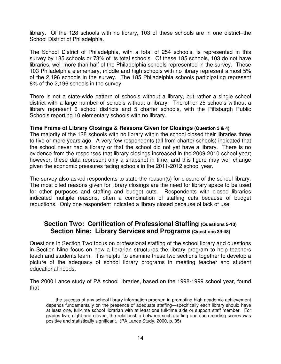<span id="page-16-0"></span> library. Of the 128 schools with no library, 103 of these schools are in one district–the School District of Philadelphia.

 The School District of Philadelphia, with a total of 254 schools, is represented in this survey by 185 schools or 73% of its total schools. Of these 185 schools, 103 do not have libraries, well more than half of the Philadelphia schools represented in the survey. These 103 Philadelphia elementary, middle and high schools with no library represent almost 5% of the 2,196 schools in the survey. The 185 Philadelphia schools participating represent 8% of the 2,196 schools in the survey.

 There is not a state-wide pattern of schools without a library, but rather a single school district with a large number of schools without a library. The other 25 schools without a library represent 6 school districts and 5 charter schools, with the Pittsburgh Public Schools reporting 10 elementary schools with no library.

### **Time Frame of Library Closings & Reasons Given for Closings (Question 3 & 4)**

 The majority of the 128 schools with no library within the school closed their libraries three to five or more years ago. A very few respondents (all from charter schools) indicated that the school never had a library or that the school did not yet have a library. There is no evidence from the responses that library closings increased in the 2009-2010 school year; however, these data represent only a snapshot in time, and this figure may well change given the economic pressures facing schools in the 2011-2012 school year.

 The survey also asked respondents to state the reason(s) for closure of the school library. The most cited reasons given for library closings are the need for library space to be used for other purposes and staffing and budget cuts. Respondents with closed libraries indicated multiple reasons, often a combination of staffing cuts because of budget reductions. Only one respondent indicated a library closed because of lack of use.

### **Section Two: Certification of Professional Staffing (Questions 5-10)** Section Nine: Library Services and Programs (Questions 39-48)

 Questions in Section Two focus on professional staffing of the school library and questions in Section Nine focus on how a librarian structures the library program to help teachers teach and students learn. It is helpful to examine these two sections together to develop a picture of the adequacy of school library programs in meeting teacher and student educational needs.

 The 2000 Lance study of PA school libraries, based on the 1998-1999 school year, found that that<br>. . . the success of any school library information program in promoting high academic achievement . . .

 depends fundamentally on the presence of adequate staffing—specifically each library should have at least one, full-time school librarian with at least one full-time aide or support staff member. For grades five, eight and eleven, the relationship between such staffing and such reading scores was positive and statistically significant. (PA Lance Study, 2000, p. 35)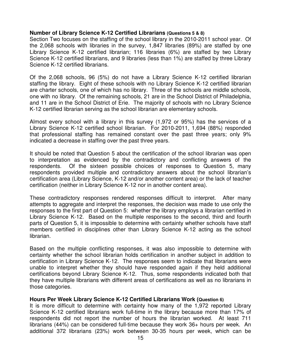### **Number of Library Science K-12 Certified Librarians (Questions 5 & 8)**

 Section Two focuses on the staffing of the school library in the 2010-2011 school year. Of the 2,068 schools with libraries in the survey, 1,847 libraries (89%) are staffed by one Library Science K-12 certified librarian; 116 libraries (6%) are staffed by two Library Science K-12 certified librarians, and 9 libraries (less than 1%) are staffed by three Library Science K-12 certified librarians.

 Of the 2,068 schools, 96 (5%) do not have a Library Science K-12 certified librarian staffing the library. Eight of these schools with no Library Science K-12 certified librarian are charter schools, one of which has no library. Three of the schools are middle schools, one with no library. Of the remaining schools, 21 are in the School District of Philadelphia, and 11 are in the School District of Erie. The majority of schools with no Library Science K-12 certified librarian serving as the school librarian are elementary schools.

 Almost every school with a library in this survey (1,972 or 95%) has the services of a Library Science K-12 certified school librarian. For 2010-2011, 1,694 (88%) responded that professional staffing has remained constant over the past three years; only 9% indicated a decrease in staffing over the past three years.

 It should be noted that Question 5 about the certification of the school librarian was open to interpretation as evidenced by the contradictory and conflicting answers of the respondents. Of the sixteen possible choices of responses to Question 5, many respondents provided multiple and contradictory answers about the school librarian's certification area (Library Science, K-12 and/or another content area) or the lack of teacher certification (neither in Library Science K-12 nor in another content area).

 These contradictory responses rendered responses difficult to interpret. After many attempts to aggregate and interpret the responses, the decision was made to use only the responses to the first part of Question 5: whether the library employs a librarian certified in Library Science K-12. Based on the multiple responses to the second, third and fourth parts of Question 5, it is impossible to determine with certainty whether schools have staff members certified in disciplines other than Library Science K-12 acting as the school librarian.

librarian.<br>Based on the multiple conflicting responses, it was also impossible to determine with certainty whether the school librarian holds certification in another subject in addition to certification in Library Science K-12. The responses seem to indicate that librarians were unable to interpret whether they should have responded again if they held additional certifications beyond Library Science K-12. Thus, some respondents indicated both that they have multiple librarians with different areas of certifications as well as no librarians in those categories.

### **Hours Per Week Library Science K-12 Certified Librarians Work (Question 6)**

 It is more difficult to determine with certainty how many of the 1,972 reported Library Science K-12 certified librarians work full-time in the library because more than 17% of respondents did not report the number of hours the librarian worked. At least 711 librarians (44%) can be considered full-time because they work 36+ hours per week. An additional 372 librarians (23%) work between 30-35 hours per week, which can be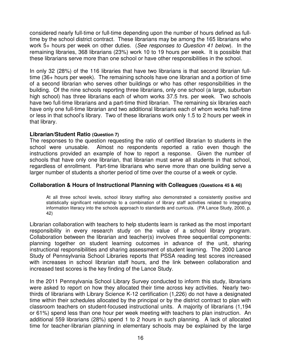considered nearly full-time or full-time depending upon the number of hours defined as full- time by the school district contract. These librarians may be among the 165 librarians who work 5+ hours per week on other duties. (See responses to Question 41 below). In the remaining libraries, 368 librarians (23%) work 10 to 19 hours per week. It is possible that these librarians serve more than one school or have other responsibilities in the school.

 In only 32 (28%) of the 116 libraries that have two librarians is that second librarian full- time (36+ hours per week). The remaining schools have one librarian and a portion of time of a second librarian who serves other buildings or who has other responsibilities in the building. Of the nine schools reporting three librarians, only one school (a large, suburban high school) has three librarians each of whom works 37.5 hrs. per week. Two schools have two full-time librarians and a part-time third librarian. The remaining six libraries each have only one full-time librarian and two additional librarians each of whom works half-time or less in that school's library. Two of these librarians work only 1.5 to 2 hours per week in that library.

### **Librarian/Student Ratio (Question 7)**

 The responses to the question requesting the ratio of certified librarian to students in the school were unusable. Almost no respondents reported a ratio even though the instructions provided an example of how to report a response. Given the number of schools that have only one librarian, that librarian must serve all students in that school, regardless of enrollment. Part-time librarians who serve more than one building serve a larger number of students a shorter period of time over the course of a week or cycle.

### **Collaboration & Hours of Instructional Planning with Colleagues (Questions 45 & 46)**

 At all three school levels, school library staffing also demonstrated a consistently positive and statistically significant relationship to a combination of library staff activities related to integrating information literacy into the schools approach to standards and curricula. (PA Lance Study, 2000, p. 42)

 Librarian collaboration with teachers to help students learn is ranked as the most important responsibility in every research study on the value of a school library program. Collaboration between the librarian and teacher(s) involves three sequential components: planning together on student learning outcomes in advance of the unit, sharing instructional responsibilities and sharing assessment of student learning. The 2000 Lance Study of Pennsylvania School Libraries reports that PSSA reading test scores increased with increases in school librarian staff hours, and the link between collaboration and increased test scores is the key finding of the Lance Study.

 In the 2011 Pennsylvania School Library Survey conducted to inform this study, librarians were asked to report on how they allocated their time across key activities. Nearly two- thirds of librarians with Library Science K-12 certification (1,226) do not have a designated time within their schedules allocated by the principal or by the district contract to plan with classroom teachers on student-focused instructional units. A majority of librarians (1,194 or 61%) spend less than one hour per week meeting with teachers to plan instruction. An additional 559 librarians (28%) spend 1 to 2 hours in such planning. A lack of allocated time for teacher-librarian planning in elementary schools may be explained by the large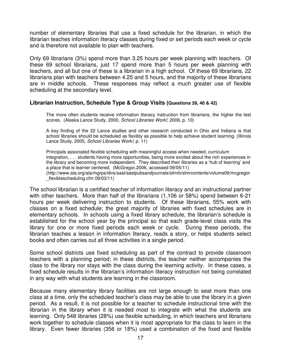number of elementary libraries that use a fixed schedule for the librarian, in which the librarian teaches information literacy classes during fixed or set periods each week or cycle and is therefore not available to plan with teachers.

 Only 69 librarians (3%) spend more than 3.25 hours per week planning with teachers. Of these 69 school librarians, just 17 spend more than 5 hours per week planning with teachers, and all but one of these is a librarian in a high school. Of these 69 librarians, 22 librarians plan with teachers between 4.25 and 5 hours, and the majority of these librarians are in middle schools. These responses may reflect a much greater use of flexible scheduling at the secondary level.

### **Librarian Instruction, Schedule Type & Group Visits (Questions 39, 40 & 42)**

 The more often students receive information literacy instruction from librarians, the higher the test scores. (Alaska Lance Study, 2000, School Libraries Work!, 2008, p. 10)

 A key finding of the 22 Lance studies and other research conducted in Ohio and Indiana is that school libraries should be scheduled as flexibly as possible to help achieve student learning. (Illinois Lance Study, 2005, School Libraries Work!, p. 11)

 Principals associated flexible scheduling with meaningful access when needed, curriculum integration, . . . students having more opportunities, being more excited about the rich experiences in the library and becoming more independent. They described their libraries as a 'hub of learning' and a place that is learner centered. (McGregor,2006, accessed 09/05/11) \_flexiblescheduling.cfm 09/03/11) (http://www.ala.org/ala/mgrps/divs/aasl/aaslpubsandjournals/slmrb/slmrcontents/volume09/mcgregor

 The school librarian is a certified teacher of information literacy and an instructional partner with other teachers. More than half of the librarians (1,106 or 58%) spend between 6-21 hours per week delivering instruction to students. Of these librarians, 55% work with classes on a fixed schedule; the great majority of libraries with fixed schedules are in elementary schools. In schools using a fixed library schedule, the librarian's schedule is established for the school year by the principal so that each grade-level class visits the library for one or more fixed periods each week or cycle. During these periods, the librarian teaches a lesson in information literacy, reads a story, or helps students select books and often carries out all three activities in a single period.

 Some school districts use fixed scheduling as part of the contract to provide classroom teachers with a planning period; in these districts, the teacher neither accompanies the class to the library nor stays with the class during the learning activity. In these cases, a fixed schedule results in the librarian's information literacy instruction not being correlated in any way with what students are learning in the classroom.

 Because many elementary library facilities are not large enough to seat more than one class at a time, only the scheduled teacher's class may be able to use the library in a given period. As a result, it is not possible for a teacher to schedule instructional time with the librarian in the library when it is needed most to integrate with what the students are learning. Only 548 libraries (28%) use flexible scheduling, in which teachers and librarians work together to schedule classes when it is most appropriate for the class to learn in the library. Even fewer libraries (356 or 18%) used a combination of the fixed and flexible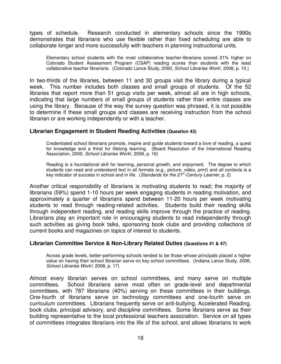types of schedule. Research conducted in elementary schools since the 1990s demonstrates that librarians who use flexible rather than fixed scheduling are able to collaborate longer and more successfully with teachers in planning instructional units.

 Elementary school students with the most collaborative teacher-librarians scored 21% higher on Colorado Student Assessment Program (CSAP) reading scores than students with the least collaborative teacher librarians. (Colorado Lance Study, 2000, School Libraries Work!, 2008, p. 10.)

 In two-thirds of the libraries, between 11 and 30 groups visit the library during a typical week. This number includes both classes and small groups of students. Of the 52 libraries that report more than 51 group visits per week, almost all are in high schools, indicating that large numbers of small groups of students rather than entire classes are using the library. Because of the way the survey question was phrased, it is not possible to determine if these small groups and classes are receiving instruction from the school librarian or are working independently or with a teacher.

### **Librarian Engagement in Student Reading Activities (Question 43)**

 Credentialed school librarians promote, inspire and guide students toward a love of reading, a quest for knowledge and a thirst for lifelong learning. (Board Resolution of the International Reading Association, 2000, School Libraries Work!, 2008, p. 16)

 Reading is a foundational skill for learning, personal growth, and enjoyment. The degree to which students can read and understand text in all formats (e.g., picture, video, print) and all contexts is a key indicator of success in school and in life. (Standards for the 21<sup>st</sup>-Century Learner, p. 2)

 Another critical responsibility of librarians is motivating students to read; the majority of librarians (59%) spend 1-10 hours per week engaging students in reading motivation, and approximately a quarter of librarians spend between 11-20 hours per week motivating students to read through reading-related activities. Students build their reading skills through independent reading, and reading skills improve through the practice of reading. Librarians play an important role in encouraging students to read independently through such activities as giving book talks, sponsoring book clubs and providing collections of current books and magazines on topics of interest to students.

### **Librarian Committee Service & Non-Library Related Duties (Questions 41 & 47)**

 Across grade levels, better-performing schools tended to be those whose principals placed a higher value on having their school librarian serve on key school committees. (Indiana Lance Study, 2006, School Libraries Work!, 2008, p. 17)

 Almost every librarian serves on school committees, and many serve on multiple committees. committees, with 787 librarians (40%) serving on these committees in their buildings. One-fourth of librarians serve on technology committees and one-fourth serve on curriculum committees. Librarians frequently serve on anti-bullying, Accelerated Reading, book clubs, principal advisory, and discipline committees. Some librarians serve as their building representative to the local professional teachers association. Service on all types of committees integrates librarians into the life of the school, and allows librarians to work School librarians serve most often on grade-level and departmental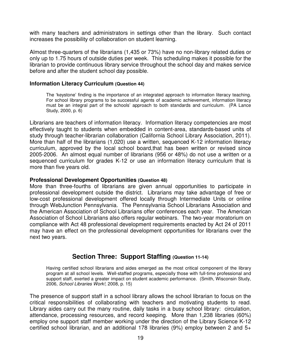<span id="page-21-0"></span> with many teachers and administrators in settings other than the library. Such contact increases the possibility of collaboration on student learning.

 Almost three-quarters of the librarians (1,435 or 73%) have no non-library related duties or only up to 1.75 hours of outside duties per week. This scheduling makes it possible for the librarian to provide continuous library service throughout the school day and makes service before and after the student school day possible.

### **Information Literacy Curriculum (Question 44)**

 The 'keystone' finding is the importance of an integrated approach to information literacy teaching. For school library programs to be successful agents of academic achievement, information literacy must be an integral part of the schools' approach to both standards and curriculum. (PA Lance Study, 2000, p. 6)

 Librarians are teachers of information literacy. Information literacy competencies are most effectively taught to students when embedded in content-area, standards-based units of study through teacher-librarian collaboration (California School Library Association, 2011). More than half of the librarians (1,020) use a written, sequenced K-12 information literacy curriculum, approved by the local school board,that has been written or revised since 2005-2006. An almost equal number of librarians (956 or 48%) do not use a written or a sequenced curriculum for grades K-12 or use an information literacy curriculum that is more than five years old.

### **Professional Development Opportunities (Question 48)**

 More than three-fourths of librarians are given annual opportunities to participate in professional development outside the district. Librarians may take advantage of free or low-cost professional development offered locally through Intermediate Units or online through WebJunction Pennsylvania. The Pennsylvania School Librarians Association and the American Association of School Librarians offer conferences each year. The American Association of School Librarians also offers regular webinars. The two-year moratorium on compliance with Act 48 professional development requirements enacted by Act 24 of 2011 may have an effect on the professional development opportunities for librarians over the next two years.

### **Section Three: Support Staffing (Question 11-14)**

 Having certified school librarians and aides emerged as the most critical component of the library program at all school levels. Well-staffed programs, especially those with full-time professional and support staff, exerted a greater impact on student academic performance. (Smith, Wisconsin Study, 2006, School Libraries Work!, 2008, p. 15)

 The presence of support staff in a school library allows the school librarian to focus on the critical responsibilities of collaborating with teachers and motivating students to read. Library aides carry out the many routine, daily tasks in a busy school library: circulation, attendance, processing resources, and record keeping. More than 1,238 libraries (60%) employ one support staff member working under the direction of the Library Science K-12 certified school librarian, and an additional 178 libraries (9%) employ between 2 and 5+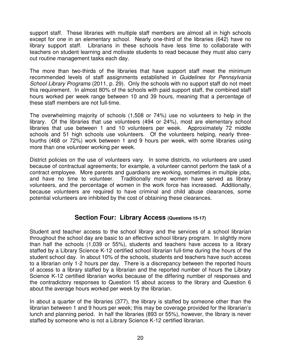<span id="page-22-0"></span> support staff. These libraries with multiple staff members are almost all in high schools except for one in an elementary school. Nearly one-third of the libraries (642) have no library support staff. Librarians in these schools have less time to collaborate with teachers on student learning and motivate students to read because they must also carry out routine management tasks each day.

 The more than two-thirds of the libraries that have support staff meet the minimum recommended levels of staff assignments established in Guidelines for Pennsylvania School Library Programs (2011, p. 29). Only the schools with no support staff do not meet this requirement. In almost 80% of the schools with paid support staff, the combined staff hours worked per week range between 10 and 39 hours, meaning that a percentage of these staff members are not full-time.

 The overwhelming majority of schools (1,508 or 74%) use no volunteers to help in the library. Of the libraries that use volunteers (494 or 24%), most are elementary school libraries that use between 1 and 10 volunteers per week. Approximately 72 middle schools and 51 high schools use volunteers. Of the volunteers helping, nearly three- fourths (468 or 72%) work between 1 and 9 hours per week, with some libraries using more than one volunteer working per week.

 District policies on the use of volunteers vary. In some districts, no volunteers are used because of contractual agreements; for example, a volunteer cannot perform the task of a contract employee. More parents and guardians are working, sometimes in multiple jobs, and have no time to volunteer. Traditionally more women have served as library volunteers, and the percentage of women in the work force has increased. Additionally, because volunteers are required to have criminal and child abuse clearances, some potential volunteers are inhibited by the cost of obtaining these clearances.

### **Section Four: Library Access (Questions 15-17)**

 Student and teacher access to the school library and the services of a school librarian throughout the school day are basic to an effective school library program. In slightly more than half the schools (1,039 or 55%), students and teachers have access to a library staffed by a Library Science K-12 certified school librarian full-time during the hours of the student school day. In about 10% of the schools, students and teachers have such access to a librarian only 1-2 hours per day. There is a discrepancy between the reported hours of access to a library staffed by a librarian and the reported number of hours the Library Science K-12 certified librarian works because of the differing number of responses and the contradictory responses to Question 15 about access to the library and Question 6 about the average hours worked per week by the librarian.

 In about a quarter of the libraries (377), the library is staffed by someone other than the librarian between 1 and 9 hours per week; this may be coverage provided for the librarian's lunch and planning period. In half the libraries (893 or 55%), however, the library is never staffed by someone who is not a Library Science K-12 certified librarian.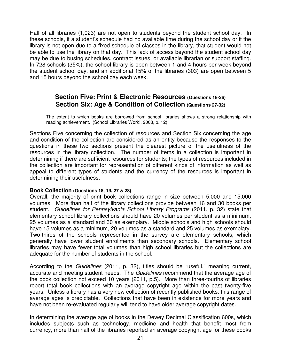<span id="page-23-0"></span> Half of all libraries (1,023) are not open to students beyond the student school day. In these schools, if a student's schedule had no available time during the school day or if the library is not open due to a fixed schedule of classes in the library, that student would not be able to use the library on that day. This lack of access beyond the student school day may be due to busing schedules, contract issues, or available librarian or support staffing. In 728 schools (35%), the school library is open between 1 and 4 hours per week beyond the student school day, and an additional 15% of the libraries (303) are open between 5 and 15 hours beyond the school day each week.

### **Section Five: Print & Electronic Resources (Questions 18-26) Section Six: Age & Condition of Collection (Questions 27-32)**

 The extent to which books are borrowed from school libraries shows a strong relationship with reading achievement. (School Libraries Work!, 2008, p. 12)

 Sections Five concerning the collection of resources and Section Six concerning the age and condition of the collection are considered as an entity because the responses to the questions in these two sections present the clearest picture of the usefulness of the resources in the library collection. The number of items in a collection is important in determining if there are sufficient resources for students; the types of resources included in the collection are important for representation of different kinds of information as well as appeal to different types of students and the currency of the resources is important in determining their usefulness.

### **Book Collection (Questions 18, 19, 27 & 28)**

 Overall, the majority of print book collections range in size between 5,000 and 15,000 volumes. More than half of the library collections provide between 16 and 30 books per student. Guidelines for Pennsylvania School Library Programs (2011, p. 32) state that elementary school library collections should have 20 volumes per student as a minimum, 25 volumes as a standard and 30 as exemplary. Middle schools and high schools should have 15 volumes as a minimum, 20 volumes as a standard and 25 volumes as exemplary. Two-thirds of the schools represented in the survey are elementary schools, which generally have lower student enrollments than secondary schools. Elementary school libraries may have fewer total volumes than high school libraries but the collections are adequate for the number of students in the school.

According to the *Guidelines* (2011, p. 32), titles should be "useful," meaning current, accurate and meeting student needs. The Guidelines recommend that the average age of the book collection not exceed 10 years (2011, p.5). More than three-fourths of libraries report total book collections with an average copyright age within the past twenty-five years. Unless a library has a very new collection of recently published books, this range of average ages is predictable. Collections that have been in existence for more years and have not been re-evaluated regularly will tend to have older average copyright dates.

 In determining the average age of books in the Dewey Decimal Classification 600s, which includes subjects such as technology, medicine and health that benefit most from currency, more than half of the libraries reported an average copyright age for these books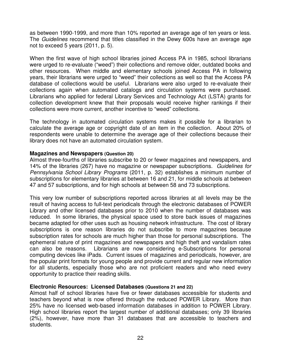as between 1990-1999, and more than 10% reported an average age of ten years or less. The Guidelines recommend that titles classified in the Dewy 600s have an average age not to exceed 5 years (2011, p. 5).

 When the first wave of high school libraries joined Access PA in 1985, school librarians were urged to re-evaluate ("weed") their collections and remove older, outdated books and other resources. When middle and elementary schools joined Access PA in following years, their librarians were urged to "weed" their collections as well so that the Access PA database of collections would be useful. Librarians were also urged to re-evaluate their collections again when automated catalogs and circulation systems were purchased. Librarians who applied for federal Library Services and Technology Act (LSTA) grants for collection development knew that their proposals would receive higher rankings if their collections were more current, another incentive to "weed" collections.

 The technology in automated circulation systems makes it possible for a librarian to calculate the average age or copyright date of an item in the collection. About 20% of respondents were unable to determine the average age of their collections because their library does not have an automated circulation system.

### **Magazines and Newspapers (Question 20)**

 Almost three-fourths of libraries subscribe to 20 or fewer magazines and newspapers, and 14% of the libraries (267) have no magazine or newspaper subscriptions. Guidelines for Pennsylvania School Library Programs (2011, p. 32) establishes a minimum number of subscriptions for elementary libraries at between 16 and 21, for middle schools at between 47 and 57 subscriptions, and for high schools at between 58 and 73 subscriptions.

 This very low number of subscriptions reported across libraries at all levels may be the result of having access to full-text periodicals through the electronic databases of POWER Library and other licensed databases prior to 2010 when the number of databases was reduced. In some libraries, the physical space used to store back issues of magazines became adapted for other uses such as housing network infrastructure. The cost of library subscriptions is one reason libraries do not subscribe to more magazines because subscription rates for schools are much higher than those for personal subscriptions. The ephemeral nature of print magazines and newspapers and high theft and vandalism rates can also be reasons. Librarians are now considering e-Subscriptions for personal computing devices like iPads. Current issues of magazines and periodicals, however, are the popular print formats for young people and provide current and regular new information for all students, especially those who are not proficient readers and who need every opportunity to practice their reading skills.

### **Electronic Resources: Licensed Databases (Questions 21 and 22)**

 Almost half of school libraries have five or fewer databases accessible for students and teachers beyond what is now offered through the reduced POWER Library. More than 25% have no licensed web-based information databases in addition to POWER Library. High school libraries report the largest number of additional databases; only 39 libraries (2%), however, have more than 31 databases that are accessible to teachers and students. students.<br>22<br>22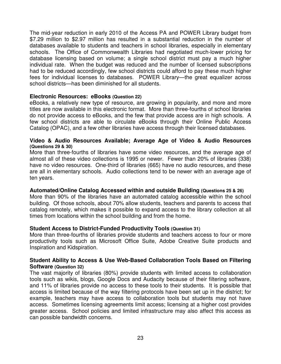The mid-year reduction in early 2010 of the Access PA and POWER Library budget from \$7.29 million to \$2.97 million has resulted in a substantial reduction in the number of databases available to students and teachers in school libraries, especially in elementary schools. The Office of Commonwealth Libraries had negotiated much-lower pricing for database licensing based on volume; a single school district must pay a much higher individual rate. When the budget was reduced and the number of licensed subscriptions had to be reduced accordingly, few school districts could afford to pay these much higher fees for individual licenses to databases. POWER Library—the great equalizer across school districts—has been diminished for all students.

### **Electronic Resources: eBooks (Question 22)**

 eBooks, a relatively new type of resource, are growing in popularity, and more and more titles are now available in this electronic format. More than three-fourths of school libraries do not provide access to eBooks, and the few that provide access are in high schools. A few school districts are able to circulate eBooks through their Online Public Access Catalog (OPAC), and a few other libraries have access through their licensed databases.

### **Video & Audio Resources Available; Average Age of Video & Audio Resources (Questions 29 & 30)**

 More than three-fourths of libraries have some video resources, and the average age of almost all of these video collections is 1995 or newer. Fewer than 20% of libraries (338) have no video resources. One-third of libraries (665) have no audio resources, and these are all in elementary schools. Audio collections tend to be newer with an average age of ten years.

### **Automated/Online Catalog Accessed within and outside Building (Questions 25 & 26)**

 More than 90% of the libraries have an automated catalog accessible within the school building. Of those schools, about 70% allow students, teachers and parents to access that catalog remotely, which makes it possible to expand access to the library collection at all times from locations within the school building and from the home.

### **Student Access to District-Funded Productivity Tools (Question 31)**

 More than three-fourths of libraries provide students and teachers access to four or more productivity tools such as Microsoft Office Suite, Adobe Creative Suite products and Inspiration and Kidspiration.

### **Student Ability to Access & Use Web-Based Collaboration Tools Based on Filtering Software (Question 32)**

 The vast majority of libraries (80%) provide students with limited access to collaboration tools such as wikis, blogs, Google Docs and Audacity because of their filtering software, and 11% of libraries provide no access to these tools to their students. It is possible that access is limited because of the way filtering protocols have been set up in the district; for example, teachers may have access to collaboration tools but students may not have access. Sometimes licensing agreements limit access; licensing at a higher cost provides greater access. School policies and limited infrastructure may also affect this access as can possible bandwidth concerns.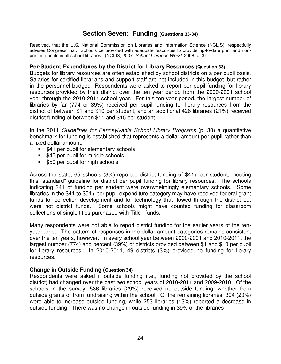### **Section Seven: Funding (Questions 33-34)**

<span id="page-26-0"></span> Resolved, that the U.S. National Commission on Libraries and Information Science (NCLIS), respectfully advises Congress that: Schools be provided with adequate resources to provide up-to-date print and nonprint materials in all school libraries. (NCLIS, 2007, School Libraries Work!, 2008, p. 3)

### **Per-Student Expenditures by the District for Library Resources (Question 33)**

 Budgets for library resources are often established by school districts on a per pupil basis. Salaries for certified librarians and support staff are not included in this budget, but rather in the personnel budget. Respondents were asked to report per pupil funding for library resources provided by their district over the ten year period from the 2000-2001 school year through the 2010-2011 school year. For this ten-year period, the largest number of libraries by far (774 or 39%) received per pupil funding for library resources from the district of between \$1 and \$10 per student, and an additional 426 libraries (21%) received district funding of between \$11 and \$15 per student.

In the 2011 Guidelines for Pennsylvania School Library Programs (p. 30) a quantitative benchmark for funding is established that represents a dollar amount per pupil rather than a fixed dollar amount:

- \$41 per pupil for elementary schools
- \$45 per pupil for middle schools
- \$50 per pupil for high schools

 Across the state, 65 schools (3%) reported district funding of \$41+ per student, meeting this "standard" guideline for district per pupil funding for library resources. The schools indicating \$41 of funding per student were overwhelmingly elementary schools. Some libraries in the \$41 to \$51+ per pupil expenditure category may have received federal grant funds for collection development and for technology that flowed through the district but were not district funds. collections of single titles purchased with Title I funds. Some schools might have counted funding for classroom

 Many respondents were not able to report district funding for the earlier years of the ten- year period. The pattern of responses in the dollar-amount categories remains consistent over the ten years, however. In every school year between 2000-2001 and 2010-2011, the largest number (774) and percent (39%) of districts provided between \$1 and \$10 per pupil for library resources. In 2010-2011, 49 districts (3%) provided no funding for library resources.

### **Change in Outside Funding (Question 34)**

 Respondents were asked if outside funding (i.e., funding not provided by the school district) had changed over the past two school years of 2010-2011 and 2009-2010. Of the schools in the survey, 586 libraries (29%) received no outside funding, whether from outside grants or from fundraising within the school. Of the remaining libraries, 394 (20%) were able to increase outside funding, while 253 libraries (13%) reported a decrease in outside funding. There was no change in outside funding in 39% of the libraries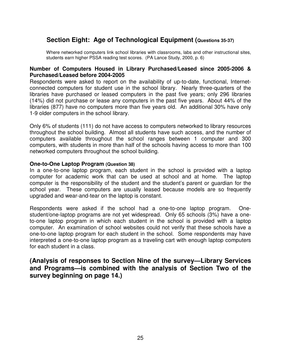### <span id="page-27-0"></span> **Section Eight: Age of Technological Equipment (Questions 35-37)**

 Where networked computers link school libraries with classrooms, labs and other instructional sites, students earn higher PSSA reading test scores. (PA Lance Study, 2000, p. 6)

### **Number of Computers Housed in Library Purchased/Leased since 2005-2006 & Purchased/Leased before 2004-2005**

 Respondents were asked to report on the availability of up-to-date, functional, Internet- connected computers for student use in the school library. Nearly three-quarters of the libraries have purchased or leased computers in the past five years; only 296 libraries (14%) did not purchase or lease any computers in the past five years. About 44% of the libraries (877) have no computers more than five years old. An additional 30% have only 1-9 older computers in the school library.

 Only 6% of students (111) do not have access to computers networked to library resources throughout the school building. Almost all students have such access, and the number of computers available throughout the school ranges between 1 computer and 300 computers, with students in more than half of the schools having access to more than 100 networked computers throughout the school building.

### **One-to-One Laptop Program (Question 38)**

 In a one-to-one laptop program, each student in the school is provided with a laptop computer for academic work that can be used at school and at home. The laptop computer is the responsibility of the student and the student's parent or guardian for the school year. These computers are usually leased because models are so frequently upgraded and wear-and-tear on the laptop is constant.

 Respondents were asked if the school had a one-to-one laptop program. One- student/one-laptop programs are not yet widespread. Only 65 schools (3%) have a one- to-one laptop program in which each student in the school is provided with a laptop computer. An examination of school websites could not verify that these schools have a one-to-one laptop program for each student in the school. Some respondents may have interpreted a one-to-one laptop program as a traveling cart with enough laptop computers for each student in a class.

### **(Analysis of responses to Section Nine of the survey—Library Services and Programs—is combined with the analysis of Section Two of the survey beginning on page 14.)**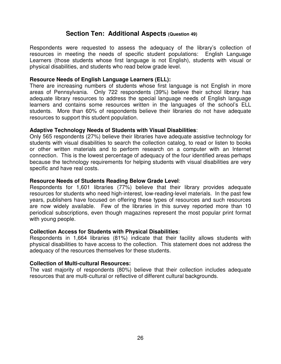### **Section Ten: Additional Aspects (Question 49)**

<span id="page-28-0"></span> Respondents were requested to assess the adequacy of the library's collection of resources in meeting the needs of specific student populations: English Language Learners (those students whose first language is not English), students with visual or physical disabilities, and students who read below grade level.

### **Resource Needs of English Language Learners (ELL):**

 There are increasing numbers of students whose first language is not English in more areas of Pennsylvania. Only 722 respondents (39%) believe their school library has adequate library resources to address the special language needs of English language learners and contains some resources written in the languages of the school's ELL students. More than 60% of respondents believe their libraries do not have adequate resources to support this student population.

### **Adaptive Technology Needs of Students with Visual Disabilities**:

 Only 565 respondents (27%) believe their libraries have adequate assistive technology for students with visual disabilities to search the collection catalog, to read or listen to books or other written materials and to perform research on a computer with an Internet connection. This is the lowest percentage of adequacy of the four identified areas perhaps because the technology requirements for helping students with visual disabilities are very specific and have real costs.

### **Resource Needs of Students Reading Below Grade Level**:

 Respondents for 1,601 libraries (77%) believe that their library provides adequate resources for students who need high-interest, low-reading-level materials. In the past few years, publishers have focused on offering these types of resources and such resources are now widely available. Few of the libraries in this survey reported more than 10 periodical subscriptions, even though magazines represent the most popular print format with young people.

### **Collection Access for Students with Physical Disabilities**:

 Respondents in 1,664 libraries (81%) indicate that their facility allows students with physical disabilities to have access to the collection. This statement does not address the adequacy of the resources themselves for these students.

### **Collection of Multi-cultural Resources:**

 The vast majority of respondents (80%) believe that their collection includes adequate resources that are multi-cultural or reflective of different cultural backgrounds.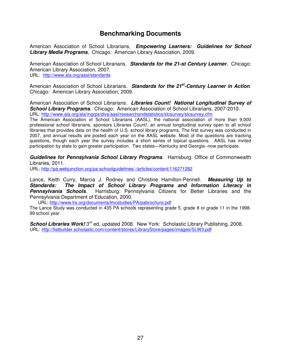### **Benchmarking Documents**

 American Association of School Librarians. **Empowering Learners: Guidelines for School Library Media Programs.** Chicago: American Library Association, 2009.

 American Association of School Librarians. **Standards for the 21-st Century Learner.** Chicago: American Library Association, 2007. URL: http://www.ala.org/aasl/standards

American Association of School Librarians. Standards for the 21<sup>st</sup>-Century Learner in Action. Chicago: American Library Association, 2009.

 American Association of School Librarians. **Libraries Count! National Longitudinal Survey of School Library Programs**. Chicago: American Association of School Librarians, 2007-2010. URL: http://www.ala.org/ala/mgrps/divs/aasl/researchandstatistics/slcsurvey/slcsurvey.cfm

 The American Association of School Librarians (AASL), the national association of more than 9,000 professional school librarians, sponsors Libraries Count!, an annual longitudinal survey open to all school libraries that provides data on the health of U.S. school library programs. The first survey was conducted in 2007, and annual results are posted each year on the AASL website. Most of the questions are tracking questions, though each year the survey includes a short series of topical questions. AASL has invited participation by state to gain greater participation. Two states—Kentucky and Georgia--now participate.

Guidelines for Pennsylvania School Library Programs. Harrisburg: Office of Commonwealth Libraries, 2011.

URL: http://pa.webjunction.org/pa-schoolguidelines/-/articles/content/116271282

 Lance, Keith Curry, Marcia J. Rodney and Christine Hamilton-Pennell. **Measuring Up to Standards:** Pennsylvania Schools. Pennsylvania Department of Education, 2000. **Standards: The Impact of School Library Programs and Information Literacy in**  Harrisburg: Pennsylvania Citizens for Better Libraries and the

URL: http://www.lrs.org/documents/lmcstudies/PA/pabrochure.pdf

 The Lance Study was conducted in 435 PA schools representing grade 5, grade 8 or grade 11 in the 1998 99 school year.

**School Libraries Work!** 3<sup>rd</sup> ed, updated 2008. New York: Scholastic Library Publishing, 2008. URL: http://listbuilder.scholastic.com/content/stores/LibraryStore/pages/images/SLW3.pdf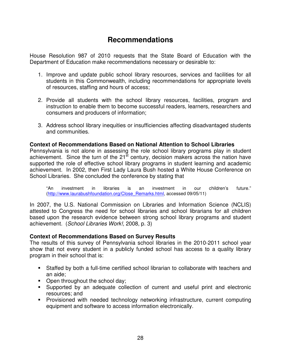### **Recommendations**

<span id="page-30-0"></span> House Resolution 987 of 2010 requests that the State Board of Education with the Department of Education make recommendations necessary or desirable to:

- 1. Improve and update public school library resources, services and facilities for all students in this Commonwealth, including recommendations for appropriate levels of resources, staffing and hours of access;
- 2. Provide all students with the school library resources, facilities, program and instruction to enable them to become successful readers, learners, researchers and consumers and producers of information;
- 3. Address school library inequities or insufficiencies affecting disadvantaged students and communities.

### **Context of Recommendations Based on National Attention to School Libraries**

 Pennsylvania is not alone in assessing the role school library programs play in student achievement. Since the turn of the 21<sup>st</sup> century, decision makers across the nation have supported the role of effective school library programs in student learning and academic achievement. In 2002, then First Lady Laura Bush hosted a White House Conference on School Libraries. She concluded the conference by stating that

 "An investment in libraries is an investment in our children's future." (http://www.laurabushfoundation.org/Close\_Remarks.html, accessed 09/05/11)

 In 2007, the U.S. National Commission on Libraries and Information Science (NCLIS) attested to Congress the need for school libraries and school librarians for all children based upon the research evidence between strong school library programs and student achievement. (School Libraries Work!, 2008, p. 3)

### **Context of Recommendations Based on Survey Results**

 The results of this survey of Pennsylvania school libraries in the 2010-2011 school year show that not every student in a publicly funded school has access to a quality library program in their school that is:

- • Staffed by both a full-time certified school librarian to collaborate with teachers and an aide;
- Open throughout the school day;
- • Supported by an adequate collection of current and useful print and electronic resources; and
- **•** Provisioned with needed technology networking infrastructure, current computing equipment and software to access information electronically.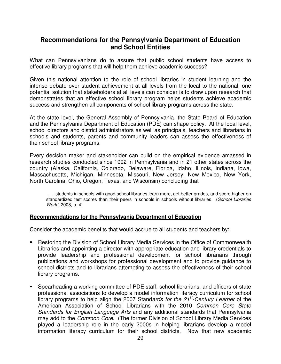### **Recommendations for the Pennsylvania Department of Education and School Entities**

 What can Pennsylvanians do to assure that public school students have access to effective library programs that will help them achieve academic success?

 Given this national attention to the role of school libraries in student learning and the intense debate over student achievement at all levels from the local to the national, one potential solution that stakeholders at all levels can consider is to draw upon research that demonstrates that an effective school library program helps students achieve academic success and strengthen all components of school library programs across the state.

 At the state level, the General Assembly of Pennsylvania, the State Board of Education and the Pennsylvania Department of Education (PDE) can shape policy. At the local level, school directors and district administrators as well as principals, teachers and librarians in schools and students, parents and community leaders can assess the effectiveness of their school library programs.

 Every decision maker and stakeholder can build on the empirical evidence amassed in research studies conducted since 1992 in Pennsylvania and in 21 other states across the country (Alaska, California, Colorado, Delaware, Florida, Idaho, Illinois, Indiana, Iowa, Massachusetts, Michigan, Minnesota, Missouri, New Jersey, New Mexico, New York, North Carolina, Ohio, Oregon, Texas, and Wisconsin) concluding that

 . . . students in schools with good school libraries learn more, get better grades, and score higher on standardized test scores than their peers in schools in schools without libraries. (School Libraries Work!, 2008, p. 4)

### **Recommendations for the Pennsylvania Department of Education**

Consider the academic benefits that would accrue to all students and teachers by:

- Restoring the Division of School Library Media Services in the Office of Commonwealth Libraries and appointing a director with appropriate education and library credentials to provide leadership and professional development for school librarians through publications and workshops for professional development and to provide guidance to school districts and to librarians attempting to assess the effectiveness of their school library programs.
- **•** Spearheading a working committee of PDE staff, school librarians, and officers of state professional associations to develop a model information literacy curriculum for school library programs to help align the 2007 Standards for the 21<sup>st</sup>-Century Learner of the American Association of School Librarians with the 2010 Common Core State Standards for English Language Arts and any additional standards that Pennsylvania may add to the Common Core. (The former Division of School Library Media Services played a leadership role in the early 2000s in helping librarians develop a model information literacy curriculum for their school districts. Now that new academic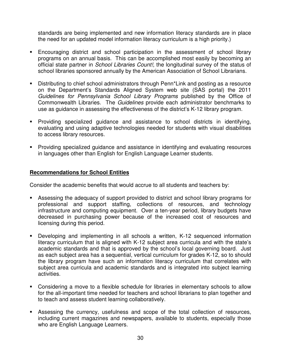standards are being implemented and new information literacy standards are in place the need for an updated model information literacy curriculum is a high priority.)

- **Encouraging district and school participation in the assessment of school library**  programs on an annual basis. This can be accomplished most easily by becoming an official state partner in School Libraries Count!, the longitudinal survey of the status of school libraries sponsored annually by the American Association of School Librarians.
- Distributing to chief school administrators through Penn\*Link and posting as a resource on the Department's Standards Aligned System web site (SAS portal) the 2011 Guidelines for Pennsylvania School Library Programs published by the Office of Commonwealth Libraries. The Guidelines provide each administrator benchmarks to use as guidance in assessing the effectiveness of the district's K-12 library program.
- • Providing specialized guidance and assistance to school districts in identifying, evaluating and using adaptive technologies needed for students with visual disabilities to access library resources.
- **•** Providing specialized guidance and assistance in identifying and evaluating resources in languages other than English for English Language Learner students.

### **Recommendations for School Entities**

Consider the academic benefits that would accrue to all students and teachers by:

- **•** Assessing the adequacy of support provided to district and school library programs for professional and support staffing, collections of resources, and technology infrastructure and computing equipment. Over a ten-year period, library budgets have decreased in purchasing power because of the increased cost of resources and licensing during this period.
- Developing and implementing in all schools a written, K-12 sequenced information literacy curriculum that is aligned with K-12 subject area curricula and with the state's academic standards and that is approved by the school's local governing board. Just as each subject area has a sequential, vertical curriculum for grades K-12, so to should the library program have such an information literacy curriculum that correlates with subject area curricula and academic standards and is integrated into subject learning activities.
- **•** Considering a move to a flexible schedule for libraries in elementary schools to allow for the all-important time needed for teachers and school librarians to plan together and to teach and assess student learning collaboratively.
- **•** Assessing the currency, usefulness and scope of the total collection of resources, including current magazines and newspapers, available to students, especially those who are English Language Learners.